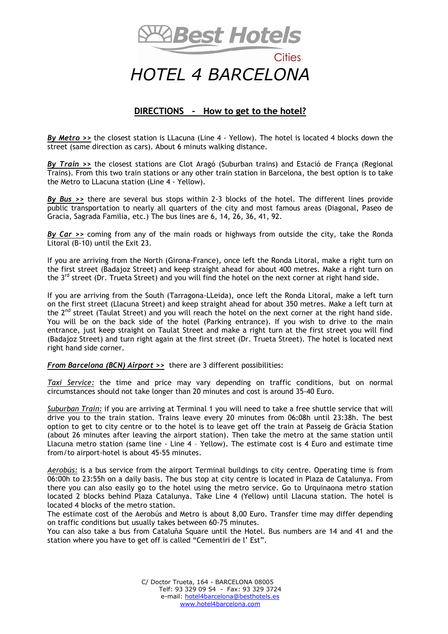

## *HOTEL 4 BARCELONA*

## **DIRECTIONS - How to get to the hotel?**

*By Metro >>* the closest station is LLacuna (Line 4 - Yellow). The hotel is located 4 blocks down the street (same direction as cars). About 6 minuts walking distance.

*By Train >>* the closest stations are Clot Aragó (Suburban trains) and Estació de França (Regional Trains). From this two train stations or any other train station in Barcelona, the best option is to take the Metro to LLacuna station (Line 4 - Yellow).

*By Bus >>* there are several bus stops within 2-3 blocks of the hotel. The different lines provide public transportation to nearly all quarters of the city and most famous areas (Diagonal, Paseo de Gracia, Sagrada Familia, etc.) The bus lines are 6, 14, 26, 36, 41, 92.

*By Car >>* coming from any of the main roads or highways from outside the city, take the Ronda Litoral (B-10) until the Exit 23.

If you are arriving from the North (Girona-France), once left the Ronda Litoral, make a right turn on the first street (Badajoz Street) and keep straight ahead for about 400 metres. Make a right turn on the 3<sup>rd</sup> street (Dr. Trueta Street) and you will find the hotel on the next corner at right hand side.

If you are arriving from the South (Tarragona-LLeida), once left the Ronda Litoral, make a left turn on the first street (Llacuna Street) and keep straight ahead for about 350 metres. Make a left turn at the  $2<sup>nd</sup>$  street (Taulat Street) and you will reach the hotel on the next corner at the right hand side. You will be on the back side of the hotel (Parking entrance). If you wish to drive to the main entrance, just keep straight on Taulat Street and make a right turn at the first street you will find (Badajoz Street) and turn right again at the first street (Dr. Trueta Street). The hotel is located next right hand side corner.

*From Barcelona (BCN) Airport >>* there are 3 different possibilities:

*Taxi Service:* the time and price may vary depending on traffic conditions, but on normal circumstances should not take longer than 20 minutes and cost is around 35-40 Euro.

*Suburban Train:* if you are arriving at Terminal 1 you will need to take a free shuttle service that will drive you to the train station. Trains leave every 20 minutes from 06:08h until 23:38h. The best option to get to city centre or to the hotel is to leave get off the train at Passeig de Gràcia Station (about 26 minutes after leaving the airport station). Then take the metro at the same station until Llacuna metro station (same line - Line 4 – Yellow). The estimate cost is 4 Euro and estimate time from/to airport-hotel is about 45-55 minutes.

*Aerobús:* is a bus service from the airport Terminal buildings to city centre. Operating time is from 06:00h to 23:55h on a daily basis. The bus stop at city centre is located in Plaza de Catalunya. From there you can also easily go to the hotel using the metro service. Go to Urquinaona metro station located 2 blocks behind Plaza Catalunya. Take Line 4 (Yellow) until Llacuna station. The hotel is located 4 blocks of the metro station.

The estimate cost of the Aerobús and Metro is about 8,00 Euro. Transfer time may differ depending on traffic conditions but usually takes between 60-75 minutes.

You can also take a bus from Cataluña Square until the Hotel. Bus numbers are 14 and 41 and the station where you have to get off is called "Cementiri de l' Est".